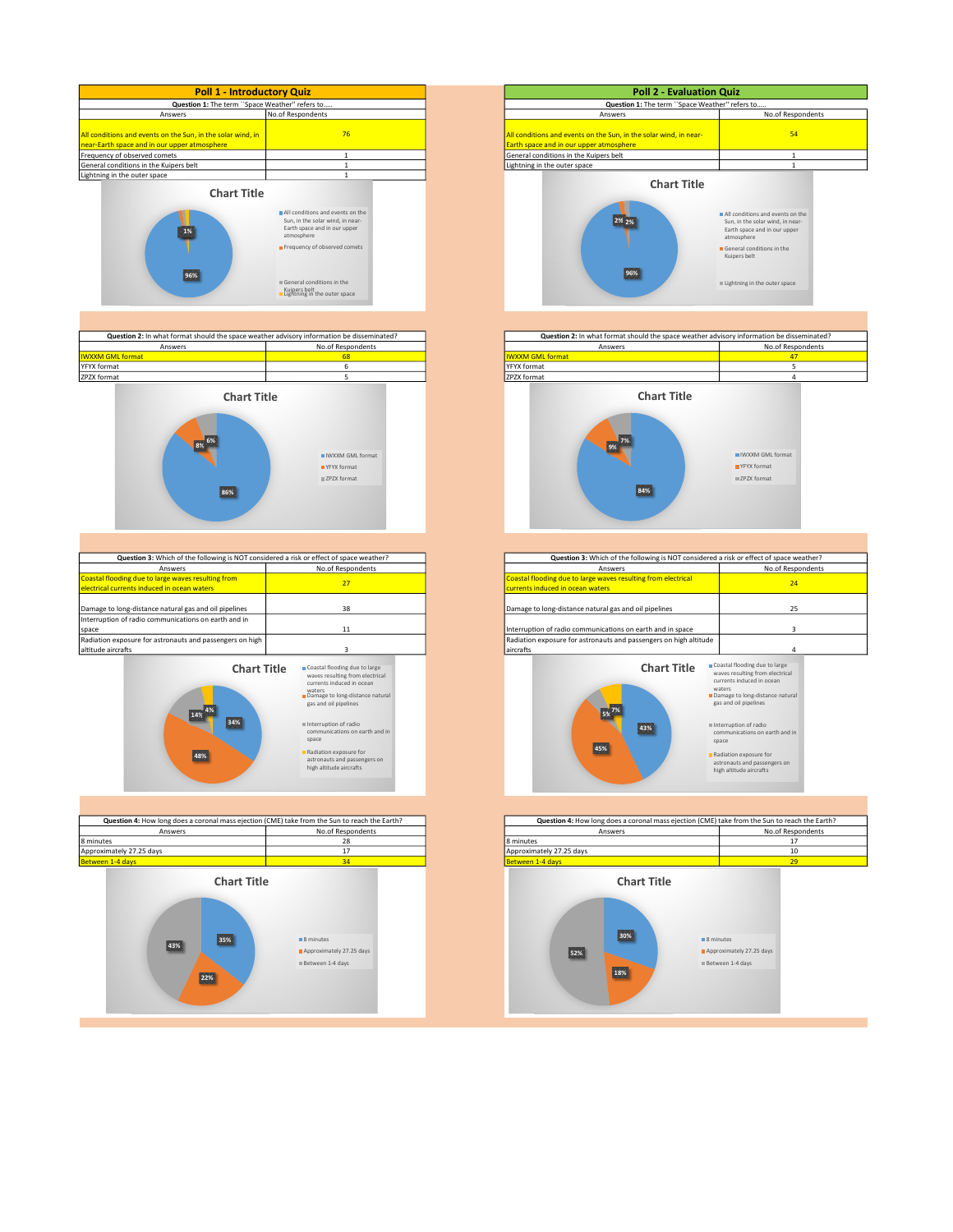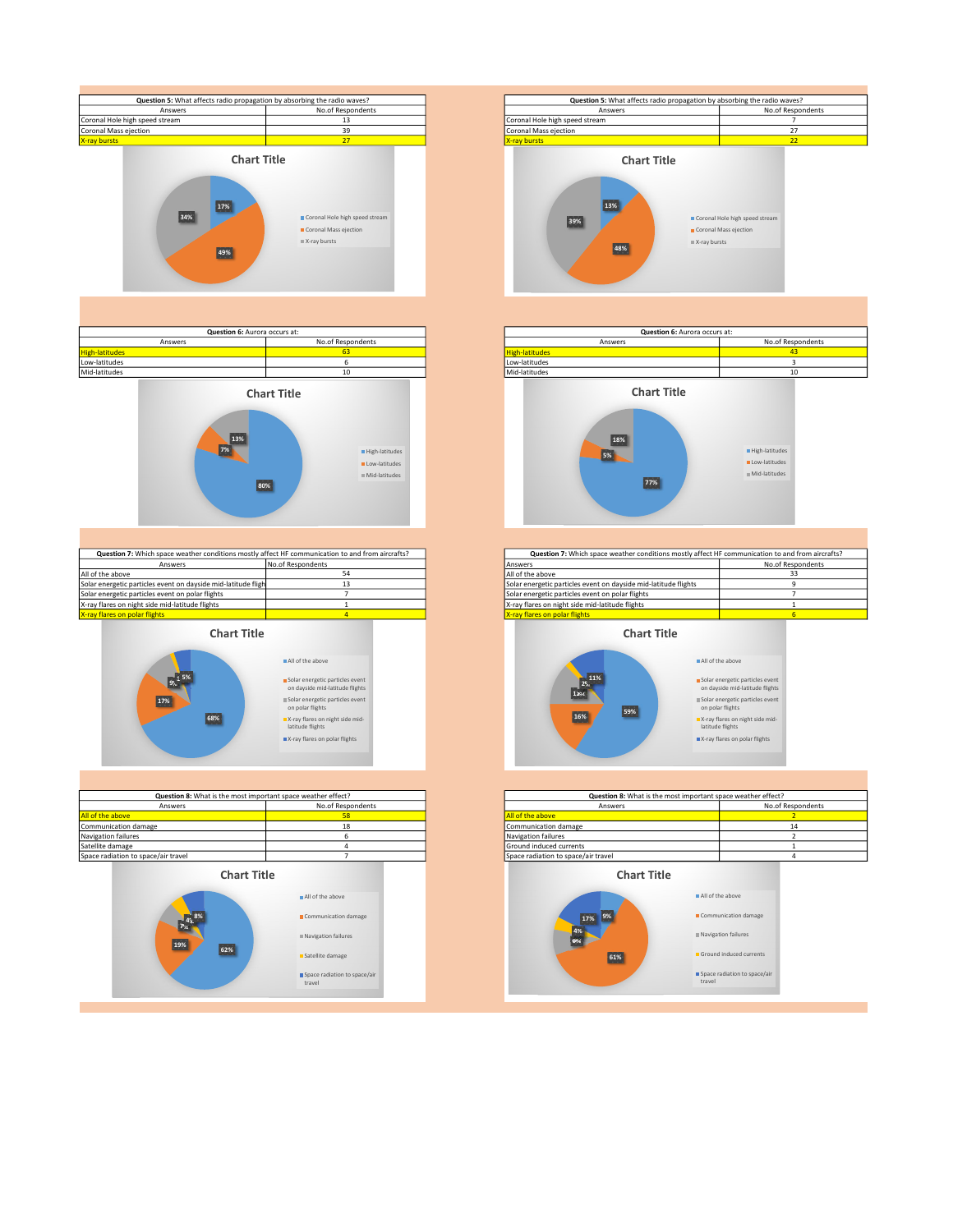





| Question 7: Which space weather conditions mostly affect HF communication to and from aircrafts? |                   | Question 7: Which space weather conditions mostly affect HF communication to and f |            |
|--------------------------------------------------------------------------------------------------|-------------------|------------------------------------------------------------------------------------|------------|
| Answers                                                                                          | No.of Respondents | Answers                                                                            | No.of Resp |
| All of the above                                                                                 |                   | All of the above                                                                   |            |
| Solar energetic particles event on dayside mid-latitude fligh                                    |                   | Solar energetic particles event on dayside mid-latitude flights                    |            |
| Solar energetic particles event on polar flights                                                 |                   | Solar energetic particles event on polar flights                                   |            |
| X-ray flares on night side mid-latitude flights                                                  |                   | X-ray flares on night side mid-latitude flights                                    |            |
| X-ray flares on polar flights                                                                    |                   | X-ray flares on polar flights                                                      |            |

Chart Title **All** of the above



| Question 8: What is the most important space weather effect? |                                                                        | Question 8: What is the most important space weather effect? |                                                         |
|--------------------------------------------------------------|------------------------------------------------------------------------|--------------------------------------------------------------|---------------------------------------------------------|
| No.of Respondents<br>Answers                                 |                                                                        | Answers                                                      | No.of Resp                                              |
| All of the above                                             | 58<br>All of the above                                                 |                                                              |                                                         |
| Communication damage                                         | 18                                                                     | Communication damage                                         | 14                                                      |
| Navigation failures                                          |                                                                        | Navigation failures                                          | л                                                       |
| Satellite damage                                             |                                                                        | Ground induced currents                                      |                                                         |
| Space radiation to space/air travel                          |                                                                        | Space radiation to space/air travel                          | 4                                                       |
| <b>Chart Title</b>                                           |                                                                        | <b>Chart Title</b>                                           | All of the above                                        |
| .8%<br>$\mathcal{T}_{\infty}$<br>19%<br>62%                  | All of the above<br>Communication damage<br><b>Navigation failures</b> | 9%<br>17%<br>4%                                              | Communication damage<br>Navigation failures             |
|                                                              | Satellite damage<br>Space radiation to space/air<br>travel             | 61%<br>travel                                                | Ground induced currents<br>Space radiation to space/air |







| Ouestion 7: Which space weather conditions mostly affect HF communication to and from aircrafts? |  | Question 7: Which space weather conditions mostly affect HF communication to and from aircrafts? |                   |  |
|--------------------------------------------------------------------------------------------------|--|--------------------------------------------------------------------------------------------------|-------------------|--|
| No.of Respondents<br>Answers                                                                     |  | <b>Answers</b>                                                                                   | No.of Respondents |  |
| the above                                                                                        |  | All of the above                                                                                 |                   |  |
| energetic particles event on dayside mid-latitude fligh                                          |  | Solar energetic particles event on dayside mid-latitude flights                                  |                   |  |
| energetic particles event on polar flights                                                       |  | Solar energetic particles event on polar flights                                                 |                   |  |
| flares on night side mid-latitude flights                                                        |  | X-ray flares on night side mid-latitude flights                                                  |                   |  |
| flares on polar flights                                                                          |  | <b>X-ray flares on polar flights</b>                                                             |                   |  |

Chart Title



| Question 8: What is the most important space weather effect? |                   | Question 8: What is the most important space weather effect? |                   |
|--------------------------------------------------------------|-------------------|--------------------------------------------------------------|-------------------|
| Answers                                                      | No.of Respondents | Answers                                                      | No.of Respondents |
|                                                              |                   | All of the above                                             |                   |
|                                                              | 18                | Communication damage                                         |                   |
|                                                              |                   | Navigation failures                                          |                   |
|                                                              |                   | Ground induced currents                                      |                   |
| de/air travel                                                |                   | Space radiation to space/air travel                          |                   |
| <b>Chart Title</b>                                           |                   | <b>Chart Title</b>                                           |                   |
|                                                              | All of the above  | All of the above                                             |                   |